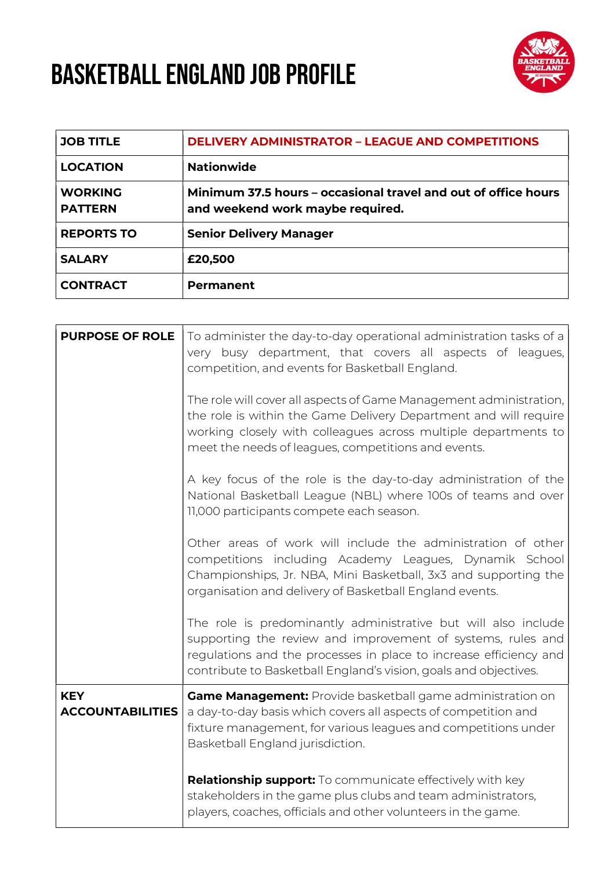## BASKETBALL ENGLAND JOB PROFILE



| <b>JOB TITLE</b>                 | <b>DELIVERY ADMINISTRATOR - LEAGUE AND COMPETITIONS</b>                                            |
|----------------------------------|----------------------------------------------------------------------------------------------------|
| <b>LOCATION</b>                  | <b>Nationwide</b>                                                                                  |
| <b>WORKING</b><br><b>PATTERN</b> | Minimum 37.5 hours – occasional travel and out of office hours<br>and weekend work maybe required. |
| <b>REPORTS TO</b>                | <b>Senior Delivery Manager</b>                                                                     |
| <b>SALARY</b>                    | £20,500                                                                                            |
| <b>CONTRACT</b>                  | <b>Permanent</b>                                                                                   |

| <b>PURPOSE OF ROLE</b>                | To administer the day-to-day operational administration tasks of a<br>very busy department, that covers all aspects of leagues,<br>competition, and events for Basketball England.                                                                                     |
|---------------------------------------|------------------------------------------------------------------------------------------------------------------------------------------------------------------------------------------------------------------------------------------------------------------------|
|                                       | The role will cover all aspects of Game Management administration,<br>the role is within the Game Delivery Department and will require<br>working closely with colleagues across multiple departments to<br>meet the needs of leagues, competitions and events.        |
|                                       | A key focus of the role is the day-to-day administration of the<br>National Basketball League (NBL) where 100s of teams and over<br>11,000 participants compete each season.                                                                                           |
|                                       | Other areas of work will include the administration of other<br>competitions including Academy Leagues, Dynamik School<br>Championships, Jr. NBA, Mini Basketball, 3x3 and supporting the<br>organisation and delivery of Basketball England events.                   |
|                                       | The role is predominantly administrative but will also include<br>supporting the review and improvement of systems, rules and<br>regulations and the processes in place to increase efficiency and<br>contribute to Basketball England's vision, goals and objectives. |
| <b>KEY</b><br><b>ACCOUNTABILITIES</b> | <b>Game Management:</b> Provide basketball game administration on<br>a day-to-day basis which covers all aspects of competition and<br>fixture management, for various leagues and competitions under<br>Basketball England jurisdiction.                              |
|                                       | <b>Relationship support:</b> To communicate effectively with key<br>stakeholders in the game plus clubs and team administrators,<br>players, coaches, officials and other volunteers in the game.                                                                      |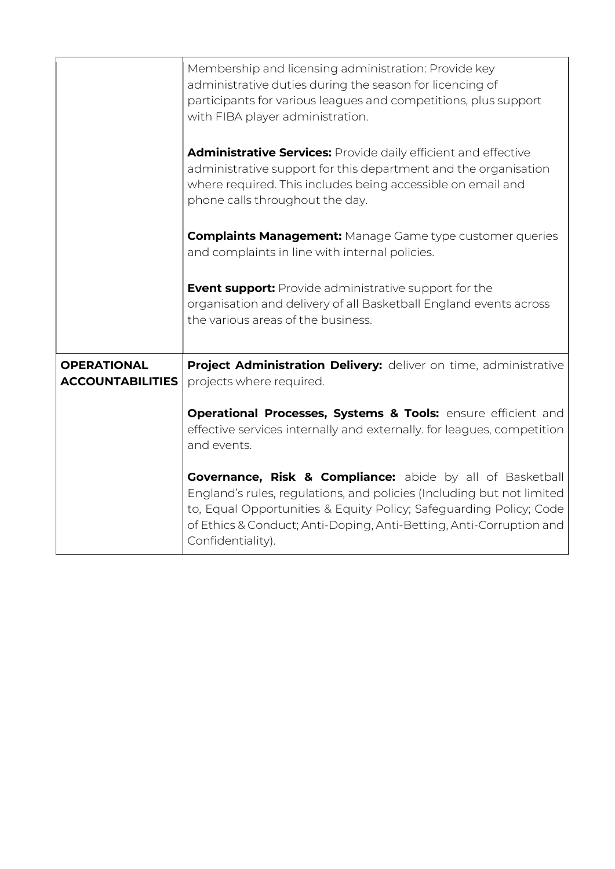|                                               | Membership and licensing administration: Provide key<br>administrative duties during the season for licencing of<br>participants for various leagues and competitions, plus support<br>with FIBA player administration.                                                                                         |
|-----------------------------------------------|-----------------------------------------------------------------------------------------------------------------------------------------------------------------------------------------------------------------------------------------------------------------------------------------------------------------|
|                                               | <b>Administrative Services:</b> Provide daily efficient and effective<br>administrative support for this department and the organisation<br>where required. This includes being accessible on email and<br>phone calls throughout the day.                                                                      |
|                                               | <b>Complaints Management:</b> Manage Game type customer queries<br>and complaints in line with internal policies.                                                                                                                                                                                               |
|                                               | <b>Event support:</b> Provide administrative support for the<br>organisation and delivery of all Basketball England events across<br>the various areas of the business.                                                                                                                                         |
| <b>OPERATIONAL</b><br><b>ACCOUNTABILITIES</b> | Project Administration Delivery: deliver on time, administrative<br>projects where required.                                                                                                                                                                                                                    |
|                                               | Operational Processes, Systems & Tools: ensure efficient and<br>effective services internally and externally. for leagues, competition<br>and events.                                                                                                                                                           |
|                                               | <b>Governance, Risk &amp; Compliance:</b> abide by all of Basketball<br>England's rules, regulations, and policies (Including but not limited<br>to, Equal Opportunities & Equity Policy; Safeguarding Policy; Code<br>of Ethics & Conduct; Anti-Doping, Anti-Betting, Anti-Corruption and<br>Confidentiality). |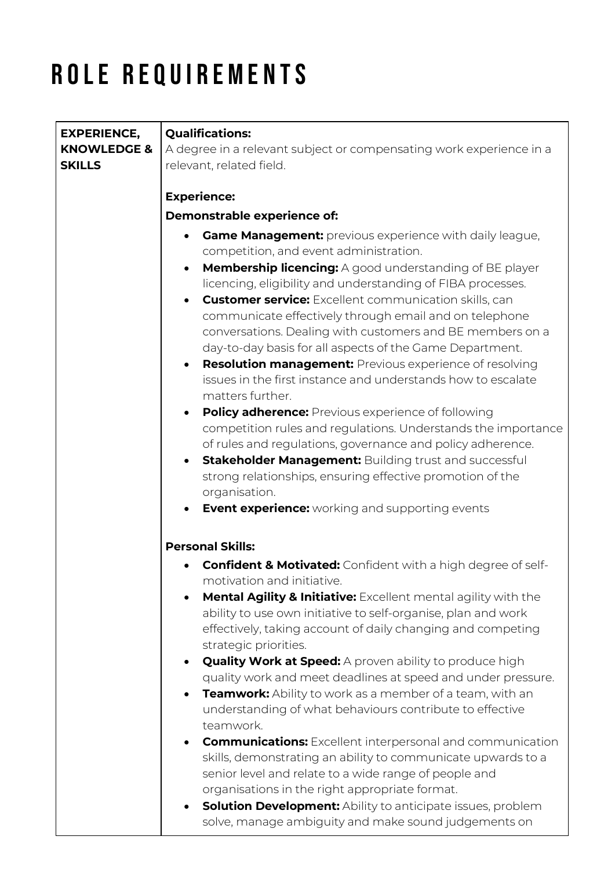## ROLE REQUIREMENTS

| <b>EXPERIENCE,</b>     | <b>Qualifications:</b>                                                                                                                  |
|------------------------|-----------------------------------------------------------------------------------------------------------------------------------------|
| <b>KNOWLEDGE &amp;</b> | A degree in a relevant subject or compensating work experience in a                                                                     |
| <b>SKILLS</b>          | relevant, related field.                                                                                                                |
|                        |                                                                                                                                         |
|                        | <b>Experience:</b>                                                                                                                      |
|                        | Demonstrable experience of:                                                                                                             |
|                        | <b>Game Management:</b> previous experience with daily league,                                                                          |
|                        | competition, and event administration.                                                                                                  |
|                        | <b>Membership licencing:</b> A good understanding of BE player<br>$\bullet$                                                             |
|                        | licencing, eligibility and understanding of FIBA processes.                                                                             |
|                        | <b>Customer service:</b> Excellent communication skills, can                                                                            |
|                        | communicate effectively through email and on telephone                                                                                  |
|                        | conversations. Dealing with customers and BE members on a                                                                               |
|                        | day-to-day basis for all aspects of the Game Department.<br><b>Resolution management:</b> Previous experience of resolving<br>$\bullet$ |
|                        | issues in the first instance and understands how to escalate                                                                            |
|                        | matters further.                                                                                                                        |
|                        | Policy adherence: Previous experience of following                                                                                      |
|                        | competition rules and regulations. Understands the importance                                                                           |
|                        | of rules and regulations, governance and policy adherence.                                                                              |
|                        | Stakeholder Management: Building trust and successful<br>$\bullet$                                                                      |
|                        | strong relationships, ensuring effective promotion of the                                                                               |
|                        | organisation.                                                                                                                           |
|                        | <b>Event experience:</b> working and supporting events                                                                                  |
|                        | <b>Personal Skills:</b>                                                                                                                 |
|                        | <b>Confident &amp; Motivated:</b> Confident with a high degree of self-                                                                 |
|                        | motivation and initiative.                                                                                                              |
|                        | <b>Mental Agility &amp; Initiative:</b> Excellent mental agility with the                                                               |
|                        | ability to use own initiative to self-organise, plan and work                                                                           |
|                        | effectively, taking account of daily changing and competing                                                                             |
|                        | strategic priorities.                                                                                                                   |
|                        | <b>Quality Work at Speed:</b> A proven ability to produce high<br>quality work and meet deadlines at speed and under pressure.          |
|                        | Teamwork: Ability to work as a member of a team, with an                                                                                |
|                        | understanding of what behaviours contribute to effective                                                                                |
|                        | teamwork.                                                                                                                               |
|                        | <b>Communications:</b> Excellent interpersonal and communication                                                                        |
|                        | skills, demonstrating an ability to communicate upwards to a                                                                            |
|                        | senior level and relate to a wide range of people and                                                                                   |
|                        | organisations in the right appropriate format.                                                                                          |
|                        | <b>Solution Development:</b> Ability to anticipate issues, problem<br>$\bullet$                                                         |
|                        | solve, manage ambiguity and make sound judgements on                                                                                    |